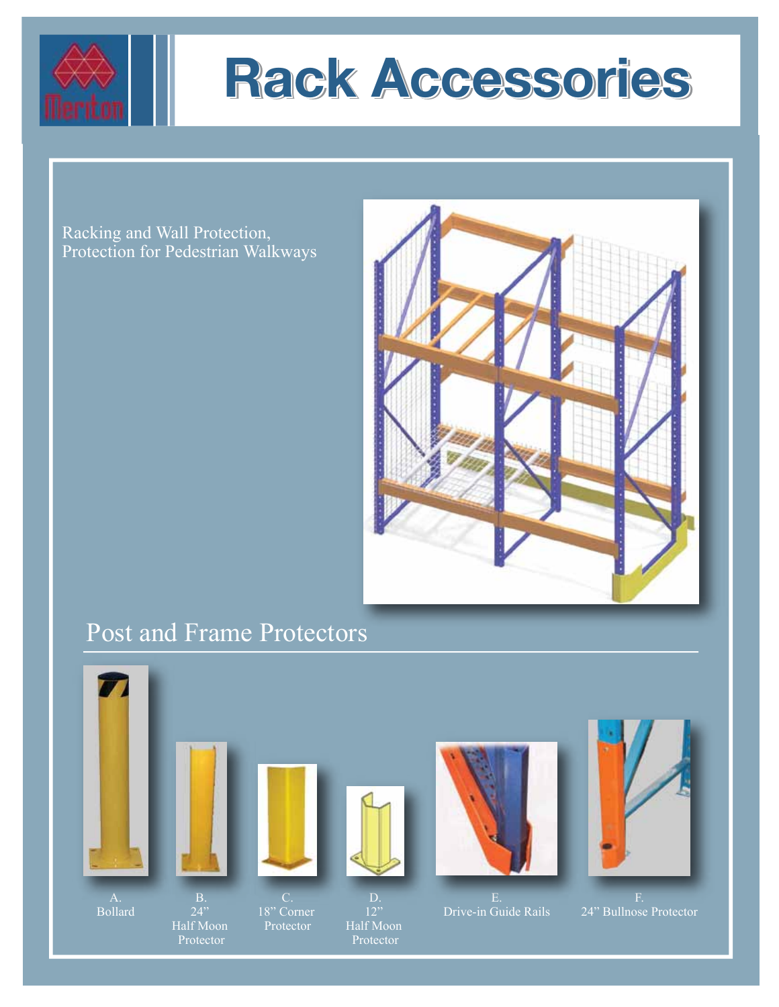



Racking and Wall Protection, Protection for Pedestrian Walkways



### Post and Frame Protectors

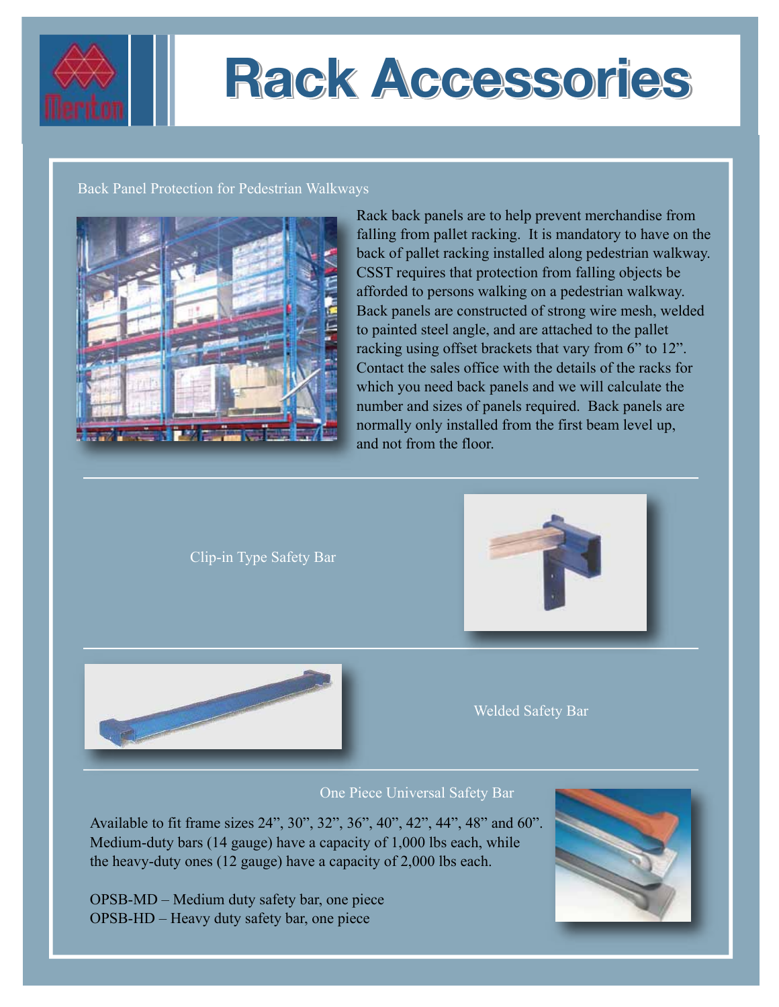

# **Rack Accessories Rack Accessories Rack Accessories**

#### Back Panel Protection for Pedestrian Walkways



Rack back panels are to help prevent merchandise from falling from pallet racking. It is mandatory to have on the back of pallet racking installed along pedestrian walkway. CSST requires that protection from falling objects be afforded to persons walking on a pedestrian walkway. Back panels are constructed of strong wire mesh, welded to painted steel angle, and are attached to the pallet racking using offset brackets that vary from 6" to 12". Contact the sales office with the details of the racks for which you need back panels and we will calculate the number and sizes of panels required. Back panels are normally only installed from the first beam level up, and not from the floor.

Clip-in Type Safety Bar





One Piece Universal Safety Bar

Available to fit frame sizes 24", 30", 32", 36", 40", 42", 44", 48" and 60". Medium-duty bars (14 gauge) have a capacity of 1,000 lbs each, while the heavy-duty ones (12 gauge) have a capacity of 2,000 lbs each.

OPSB-MD – Medium duty safety bar, one piece OPSB-HD – Heavy duty safety bar, one piece